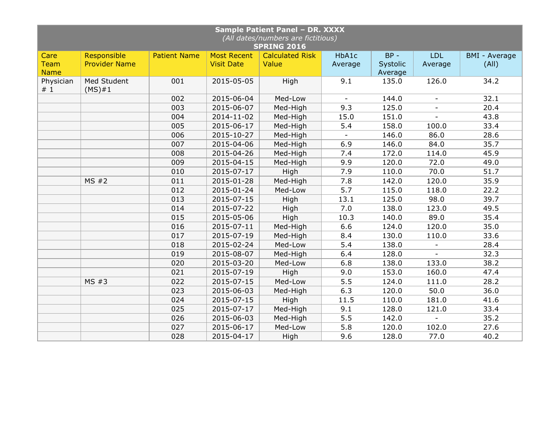| Sample Patient Panel - DR. XXXX<br>(All dates/numbers are fictitious)<br><b>SPRING 2016</b> |                            |                     |                    |                        |                          |          |                          |                      |  |  |  |
|---------------------------------------------------------------------------------------------|----------------------------|---------------------|--------------------|------------------------|--------------------------|----------|--------------------------|----------------------|--|--|--|
| Care                                                                                        | Responsible                | <b>Patient Name</b> | <b>Most Recent</b> | <b>Calculated Risk</b> | HbA1c                    | $BP -$   | <b>LDL</b>               | <b>BMI - Average</b> |  |  |  |
| <b>Team</b>                                                                                 | <b>Provider Name</b>       |                     | <b>Visit Date</b>  | Value                  | Average                  | Systolic | Average                  | (A  )                |  |  |  |
| <b>Name</b>                                                                                 |                            |                     |                    |                        |                          | Average  |                          |                      |  |  |  |
| Physician<br>#1                                                                             | Med Student<br>$(MS) \# 1$ | 001                 | 2015-05-05         | High                   | 9.1                      | 135.0    | 126.0                    | 34.2                 |  |  |  |
|                                                                                             |                            | 002                 | 2015-06-04         | Med-Low                | $\sim$                   | 144.0    | $\blacksquare$           | 32.1                 |  |  |  |
|                                                                                             |                            | 003                 | 2015-06-07         | Med-High               | 9.3                      | 125.0    |                          | 20.4                 |  |  |  |
|                                                                                             |                            | 004                 | 2014-11-02         | Med-High               | 15.0                     | 151.0    |                          | 43.8                 |  |  |  |
|                                                                                             |                            | 005                 | 2015-06-17         | Med-High               | 5.4                      | 158.0    | 100.0                    | 33.4                 |  |  |  |
|                                                                                             |                            | 006                 | 2015-10-27         | Med-High               | $\overline{\phantom{a}}$ | 146.0    | 86.0                     | 28.6                 |  |  |  |
|                                                                                             |                            | 007                 | 2015-04-06         | Med-High               | 6.9                      | 146.0    | 84.0                     | 35.7                 |  |  |  |
|                                                                                             |                            | 008                 | 2015-04-26         | Med-High               | 7.4                      | 172.0    | 114.0                    | 45.9                 |  |  |  |
|                                                                                             |                            | 009                 | 2015-04-15         | Med-High               | 9.9                      | 120.0    | 72.0                     | 49.0                 |  |  |  |
|                                                                                             |                            | 010                 | 2015-07-17         | High                   | 7.9                      | 110.0    | 70.0                     | 51.7                 |  |  |  |
|                                                                                             | MS#2                       | 011                 | 2015-01-28         | Med-High               | 7.8                      | 142.0    | 120.0                    | 35.9                 |  |  |  |
|                                                                                             |                            | 012                 | 2015-01-24         | Med-Low                | $\overline{5.7}$         | 115.0    | 118.0                    | 22.2                 |  |  |  |
|                                                                                             |                            | 013                 | 2015-07-15         | High                   | 13.1                     | 125.0    | 98.0                     | 39.7                 |  |  |  |
|                                                                                             |                            | 014                 | 2015-07-22         | High                   | 7.0                      | 138.0    | 123.0                    | 49.5                 |  |  |  |
|                                                                                             |                            | 015                 | 2015-05-06         | High                   | 10.3                     | 140.0    | 89.0                     | 35.4                 |  |  |  |
|                                                                                             |                            | 016                 | 2015-07-11         | Med-High               | 6.6                      | 124.0    | 120.0                    | 35.0                 |  |  |  |
|                                                                                             |                            | 017                 | 2015-07-19         | Med-High               | 8.4                      | 130.0    | 110.0                    | 33.6                 |  |  |  |
|                                                                                             |                            | 018                 | 2015-02-24         | Med-Low                | 5.4                      | 138.0    | $\overline{\phantom{a}}$ | 28.4                 |  |  |  |
|                                                                                             |                            | 019                 | 2015-08-07         | Med-High               | 6.4                      | 128.0    |                          | 32.3                 |  |  |  |
|                                                                                             |                            | 020                 | 2015-03-20         | Med-Low                | 6.8                      | 138.0    | 133.0                    | 38.2                 |  |  |  |
|                                                                                             |                            | 021                 | 2015-07-19         | High                   | 9.0                      | 153.0    | 160.0                    | 47.4                 |  |  |  |
|                                                                                             | MS#3                       | 022                 | 2015-07-15         | Med-Low                | 5.5                      | 124.0    | 111.0                    | 28.2                 |  |  |  |
|                                                                                             |                            | 023                 | 2015-06-03         | Med-High               | 6.3                      | 120.0    | 50.0                     | 36.0                 |  |  |  |
|                                                                                             |                            | 024                 | 2015-07-15         | High                   | 11.5                     | 110.0    | 181.0                    | 41.6                 |  |  |  |
|                                                                                             |                            | 025                 | 2015-07-17         | Med-High               | 9.1                      | 128.0    | 121.0                    | 33.4                 |  |  |  |
|                                                                                             |                            | 026                 | 2015-06-03         | Med-High               | 5.5                      | 142.0    |                          | 35.2                 |  |  |  |
|                                                                                             |                            | 027                 | 2015-06-17         | Med-Low                | 5.8                      | 120.0    | 102.0                    | 27.6                 |  |  |  |
|                                                                                             |                            | 028                 | 2015-04-17         | High                   | 9.6                      | 128.0    | 77.0                     | 40.2                 |  |  |  |